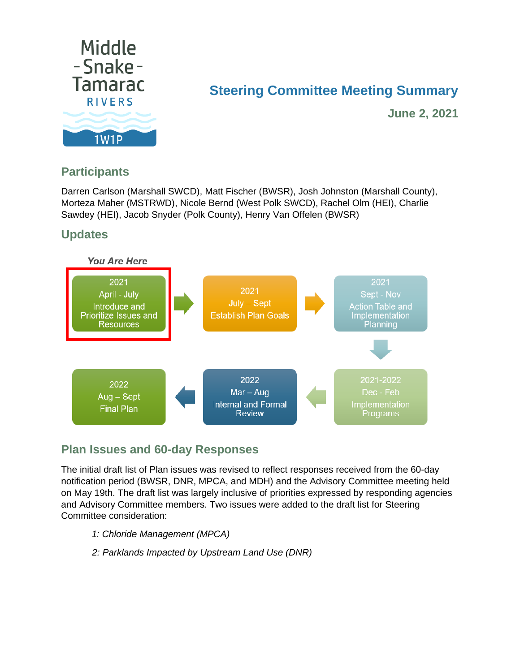

# **Steering Committee Meeting Summary**

**June 2, 2021**

## **Participants**

Darren Carlson (Marshall SWCD), Matt Fischer (BWSR), Josh Johnston (Marshall County), Morteza Maher (MSTRWD), Nicole Bernd (West Polk SWCD), Rachel Olm (HEI), Charlie Sawdey (HEI), Jacob Snyder (Polk County), Henry Van Offelen (BWSR)

## **Updates**



## **Plan Issues and 60-day Responses**

The initial draft list of Plan issues was revised to reflect responses received from the 60-day notification period (BWSR, DNR, MPCA, and MDH) and the Advisory Committee meeting held on May 19th. The draft list was largely inclusive of priorities expressed by responding agencies and Advisory Committee members. Two issues were added to the draft list for Steering Committee consideration:

- *1: Chloride Management (MPCA)*
- *2: Parklands Impacted by Upstream Land Use (DNR)*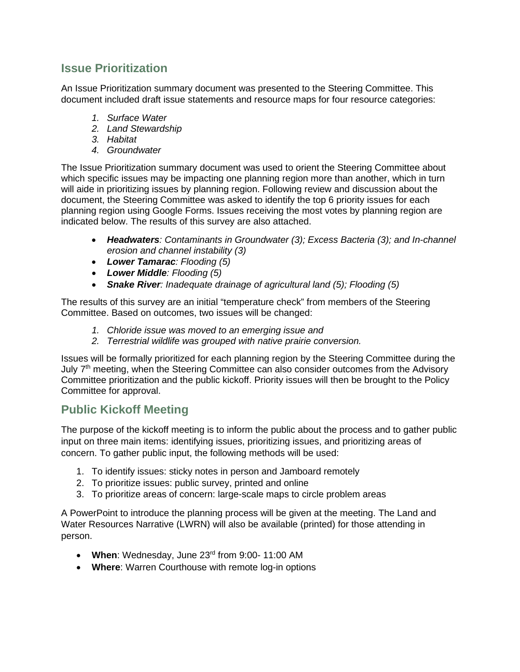### **Issue Prioritization**

An Issue Prioritization summary document was presented to the Steering Committee. This document included draft issue statements and resource maps for four resource categories:

- *1. Surface Water*
- *2. Land Stewardship*
- *3. Habitat*
- *4. Groundwater*

The Issue Prioritization summary document was used to orient the Steering Committee about which specific issues may be impacting one planning region more than another, which in turn will aide in prioritizing issues by planning region. Following review and discussion about the document, the Steering Committee was asked to identify the top 6 priority issues for each planning region using Google Forms. Issues receiving the most votes by planning region are indicated below. The results of this survey are also attached.

- *Headwaters: Contaminants in Groundwater (3); Excess Bacteria (3); and In-channel erosion and channel instability (3)*
- *Lower Tamarac: Flooding (5)*
- *Lower Middle: Flooding (5)*
- *Snake River: Inadequate drainage of agricultural land (5); Flooding (5)*

The results of this survey are an initial "temperature check" from members of the Steering Committee. Based on outcomes, two issues will be changed:

- *1. Chloride issue was moved to an emerging issue and*
- *2. Terrestrial wildlife was grouped with native prairie conversion.*

Issues will be formally prioritized for each planning region by the Steering Committee during the July 7<sup>th</sup> meeting, when the Steering Committee can also consider outcomes from the Advisory Committee prioritization and the public kickoff. Priority issues will then be brought to the Policy Committee for approval.

#### **Public Kickoff Meeting**

The purpose of the kickoff meeting is to inform the public about the process and to gather public input on three main items: identifying issues, prioritizing issues, and prioritizing areas of concern. To gather public input, the following methods will be used:

- 1. To identify issues: sticky notes in person and Jamboard remotely
- 2. To prioritize issues: public survey, printed and online
- 3. To prioritize areas of concern: large-scale maps to circle problem areas

A PowerPoint to introduce the planning process will be given at the meeting. The Land and Water Resources Narrative (LWRN) will also be available (printed) for those attending in person.

- **When**: Wednesday, June 23rd from 9:00- 11:00 AM
- **Where**: Warren Courthouse with remote log-in options